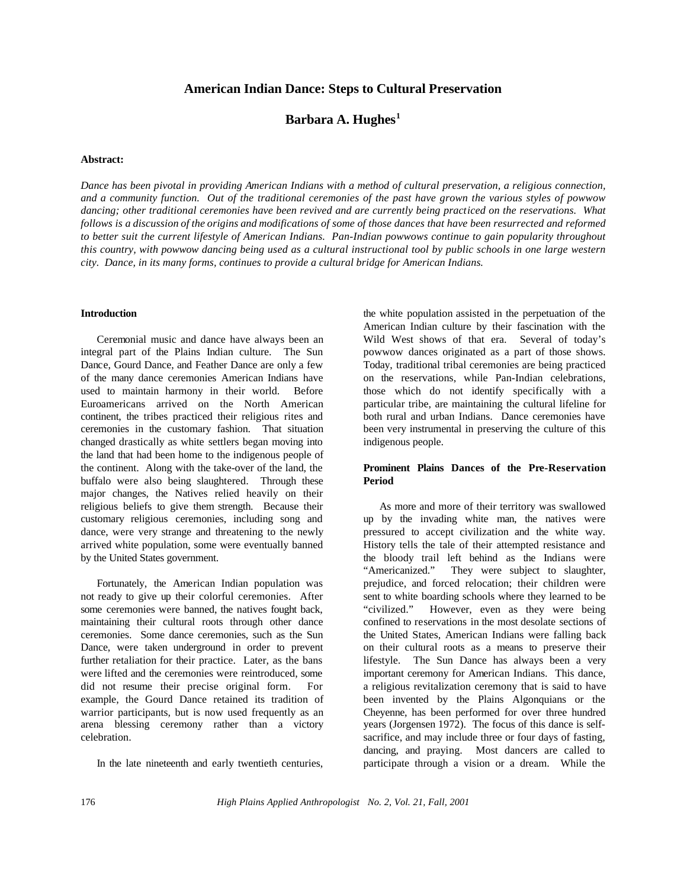# **American Indian Dance: Steps to Cultural Preservation**

# **Barbara A. Hughes<sup>1</sup>**

### **Abstract:**

Dance has been pivotal in providing American Indians with a method of cultural preservation, a religious connection, *and a community function. Out of the traditional ceremonies of the past have grown the various styles of powwow dancing; other traditional ceremonies have been revived and are currently being practiced on the reservations. What follows is a discussion of the origins and modifications of some of those dances that have been resurrected and reformed to better suit the current lifestyle of American Indians. Pan-Indian powwows continue to gain popularity throughout this country, with powwow dancing being used as a cultural instructional tool by public schools in one large western city. Dance, in its many forms, continues to provide a cultural bridge for American Indians.* 

#### **Introduction**

Ceremonial music and dance have always been an integral part of the Plains Indian culture. The Sun Dance, Gourd Dance, and Feather Dance are only a few of the many dance ceremonies American Indians have used to maintain harmony in their world. Before Euroamericans arrived on the North American continent, the tribes practiced their religious rites and ceremonies in the customary fashion. That situation changed drastically as white settlers began moving into the land that had been home to the indigenous people of the continent. Along with the take-over of the land, the buffalo were also being slaughtered. Through these major changes, the Natives relied heavily on their religious beliefs to give them strength. Because their customary religious ceremonies, including song and dance, were very strange and threatening to the newly arrived white population, some were eventually banned by the United States government.

Fortunately, the American Indian population was not ready to give up their colorful ceremonies. After some ceremonies were banned, the natives fought back, maintaining their cultural roots through other dance ceremonies. Some dance ceremonies, such as the Sun Dance, were taken underground in order to prevent further retaliation for their practice. Later, as the bans were lifted and the ceremonies were reintroduced, some did not resume their precise original form. For example, the Gourd Dance retained its tradition of warrior participants, but is now used frequently as an arena blessing ceremony rather than a victory celebration.

In the late nineteenth and early twentieth centuries,

the white population assisted in the perpetuation of the American Indian culture by their fascination with the Wild West shows of that era. Several of today's powwow dances originated as a part of those shows. Today, traditional tribal ceremonies are being practiced on the reservations, while Pan-Indian celebrations, those which do not identify specifically with a particular tribe, are maintaining the cultural lifeline for both rural and urban Indians. Dance ceremonies have been very instrumental in preserving the culture of this indigenous people.

## **Prominent Plains Dances of the Pre-Reservation Period**

As more and more of their territory was swallowed up by the invading white man, the natives were pressured to accept civilization and the white way. History tells the tale of their attempted resistance and the bloody trail left behind as the Indians were "Americanized." They were subject to slaughter, prejudice, and forced relocation; their children were sent to white boarding schools where they learned to be "civilized." However, even as they were being confined to reservations in the most desolate sections of the United States, American Indians were falling back on their cultural roots as a means to preserve their lifestyle. The Sun Dance has always been a very important ceremony for American Indians. This dance, a religious revitalization ceremony that is said to have been invented by the Plains Algonquians or the Cheyenne, has been performed for over three hundred years (Jorgensen 1972). The focus of this dance is selfsacrifice, and may include three or four days of fasting, dancing, and praying. Most dancers are called to participate through a vision or a dream. While the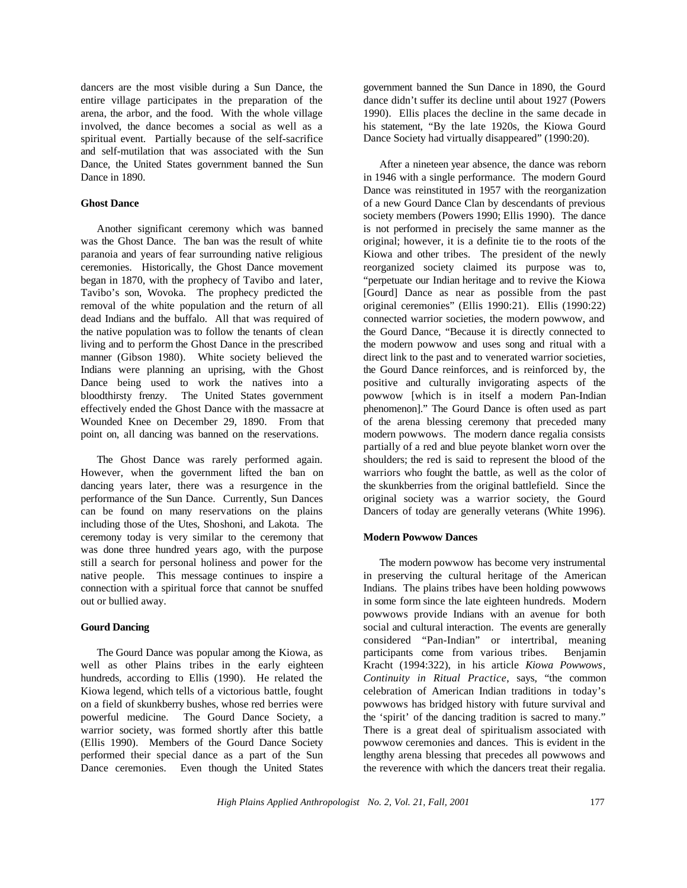dancers are the most visible during a Sun Dance, the entire village participates in the preparation of the arena, the arbor, and the food. With the whole village involved, the dance becomes a social as well as a spiritual event. Partially because of the self-sacrifice and self-mutilation that was associated with the Sun Dance, the United States government banned the Sun Dance in 1890.

### **Ghost Dance**

Another significant ceremony which was banned was the Ghost Dance. The ban was the result of white paranoia and years of fear surrounding native religious ceremonies. Historically, the Ghost Dance movement began in 1870, with the prophecy of Tavibo and later, Tavibo's son, Wovoka. The prophecy predicted the removal of the white population and the return of all dead Indians and the buffalo. All that was required of the native population was to follow the tenants of clean living and to perform the Ghost Dance in the prescribed manner (Gibson 1980). White society believed the Indians were planning an uprising, with the Ghost Dance being used to work the natives into a bloodthirsty frenzy. The United States government effectively ended the Ghost Dance with the massacre at Wounded Knee on December 29, 1890. From that point on, all dancing was banned on the reservations.

The Ghost Dance was rarely performed again. However, when the government lifted the ban on dancing years later, there was a resurgence in the performance of the Sun Dance. Currently, Sun Dances can be found on many reservations on the plains including those of the Utes, Shoshoni, and Lakota. The ceremony today is very similar to the ceremony that was done three hundred years ago, with the purpose still a search for personal holiness and power for the native people. This message continues to inspire a connection with a spiritual force that cannot be snuffed out or bullied away.

## **Gourd Dancing**

The Gourd Dance was popular among the Kiowa, as well as other Plains tribes in the early eighteen hundreds, according to Ellis (1990). He related the Kiowa legend, which tells of a victorious battle, fought on a field of skunkberry bushes, whose red berries were powerful medicine. The Gourd Dance Society, a warrior society, was formed shortly after this battle (Ellis 1990). Members of the Gourd Dance Society performed their special dance as a part of the Sun Dance ceremonies. Even though the United States government banned the Sun Dance in 1890, the Gourd dance didn't suffer its decline until about 1927 (Powers 1990). Ellis places the decline in the same decade in his statement, "By the late 1920s, the Kiowa Gourd Dance Society had virtually disappeared" (1990:20).

After a nineteen year absence, the dance was reborn in 1946 with a single performance. The modern Gourd Dance was reinstituted in 1957 with the reorganization of a new Gourd Dance Clan by descendants of previous society members (Powers 1990; Ellis 1990). The dance is not performed in precisely the same manner as the original; however, it is a definite tie to the roots of the Kiowa and other tribes. The president of the newly reorganized society claimed its purpose was to, "perpetuate our Indian heritage and to revive the Kiowa [Gourd] Dance as near as possible from the past original ceremonies" (Ellis 1990:21). Ellis (1990:22) connected warrior societies, the modern powwow, and the Gourd Dance, "Because it is directly connected to the modern powwow and uses song and ritual with a direct link to the past and to venerated warrior societies, the Gourd Dance reinforces, and is reinforced by, the positive and culturally invigorating aspects of the powwow [which is in itself a modern Pan-Indian phenomenon]." The Gourd Dance is often used as part of the arena blessing ceremony that preceded many modern powwows. The modern dance regalia consists partially of a red and blue peyote blanket worn over the shoulders; the red is said to represent the blood of the warriors who fought the battle, as well as the color of the skunkberries from the original battlefield. Since the original society was a warrior society, the Gourd Dancers of today are generally veterans (White 1996).

## **Modern Powwow Dances**

The modern powwow has become very instrumental in preserving the cultural heritage of the American Indians. The plains tribes have been holding powwows in some form since the late eighteen hundreds. Modern powwows provide Indians with an avenue for both social and cultural interaction. The events are generally considered "Pan-Indian" or intertribal, meaning participants come from various tribes. Benjamin Kracht (1994:322), in his article *Kiowa Powwows, Continuity in Ritual Practice*, says, "the common celebration of American Indian traditions in today's powwows has bridged history with future survival and the 'spirit' of the dancing tradition is sacred to many." There is a great deal of spiritualism associated with powwow ceremonies and dances. This is evident in the lengthy arena blessing that precedes all powwows and the reverence with which the dancers treat their regalia.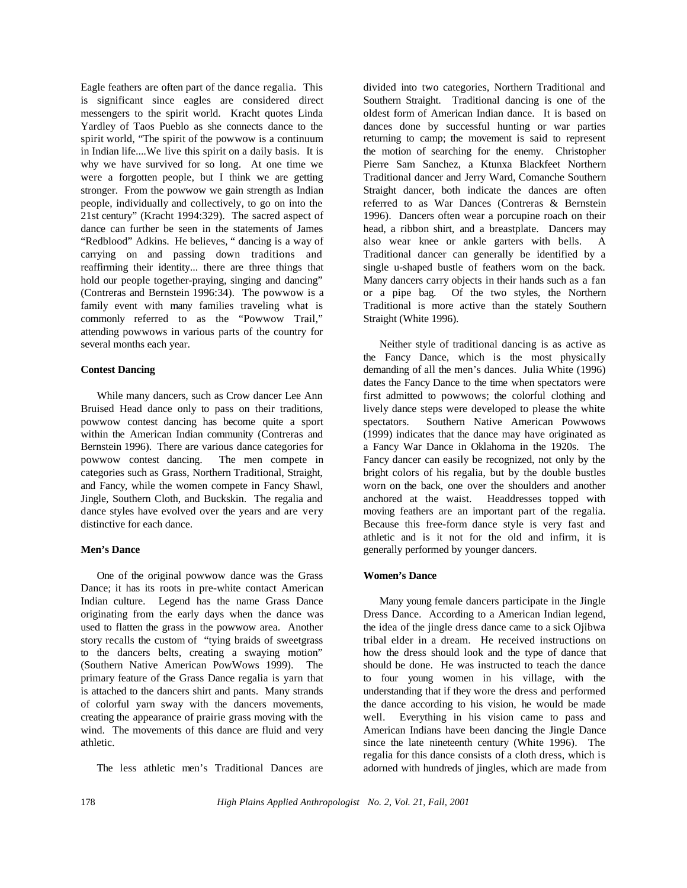Eagle feathers are often part of the dance regalia. This is significant since eagles are considered direct messengers to the spirit world. Kracht quotes Linda Yardley of Taos Pueblo as she connects dance to the spirit world, "The spirit of the powwow is a continuum in Indian life....We live this spirit on a daily basis. It is why we have survived for so long. At one time we were a forgotten people, but I think we are getting stronger. From the powwow we gain strength as Indian people, individually and collectively, to go on into the 21st century" (Kracht 1994:329). The sacred aspect of dance can further be seen in the statements of James "Redblood" Adkins. He believes, " dancing is a way of carrying on and passing down traditions and reaffirming their identity... there are three things that hold our people together-praying, singing and dancing" (Contreras and Bernstein 1996:34). The powwow is a family event with many families traveling what is commonly referred to as the "Powwow Trail," attending powwows in various parts of the country for several months each year.

## **Contest Dancing**

While many dancers, such as Crow dancer Lee Ann Bruised Head dance only to pass on their traditions, powwow contest dancing has become quite a sport within the American Indian community (Contreras and Bernstein 1996). There are various dance categories for powwow contest dancing. The men compete in categories such as Grass, Northern Traditional, Straight, and Fancy, while the women compete in Fancy Shawl, Jingle, Southern Cloth, and Buckskin. The regalia and dance styles have evolved over the years and are very distinctive for each dance.

## **Men's Dance**

One of the original powwow dance was the Grass Dance; it has its roots in pre-white contact American Indian culture. Legend has the name Grass Dance originating from the early days when the dance was used to flatten the grass in the powwow area. Another story recalls the custom of "tying braids of sweetgrass to the dancers belts, creating a swaying motion" (Southern Native American PowWows 1999). The primary feature of the Grass Dance regalia is yarn that is attached to the dancers shirt and pants. Many strands of colorful yarn sway with the dancers movements, creating the appearance of prairie grass moving with the wind. The movements of this dance are fluid and very athletic.

The less athletic men's Traditional Dances are

divided into two categories, Northern Traditional and Southern Straight. Traditional dancing is one of the oldest form of American Indian dance. It is based on dances done by successful hunting or war parties returning to camp; the movement is said to represent the motion of searching for the enemy. Christopher Pierre Sam Sanchez, a Ktunxa Blackfeet Northern Traditional dancer and Jerry Ward, Comanche Southern Straight dancer, both indicate the dances are often referred to as War Dances (Contreras & Bernstein 1996). Dancers often wear a porcupine roach on their head, a ribbon shirt, and a breastplate. Dancers may also wear knee or ankle garters with bells. A Traditional dancer can generally be identified by a single u-shaped bustle of feathers worn on the back. Many dancers carry objects in their hands such as a fan or a pipe bag. Of the two styles, the Northern Traditional is more active than the stately Southern Straight (White 1996).

Neither style of traditional dancing is as active as the Fancy Dance, which is the most physically demanding of all the men's dances. Julia White (1996) dates the Fancy Dance to the time when spectators were first admitted to powwows; the colorful clothing and lively dance steps were developed to please the white spectators. Southern Native American Powwows (1999) indicates that the dance may have originated as a Fancy War Dance in Oklahoma in the 1920s. The Fancy dancer can easily be recognized, not only by the bright colors of his regalia, but by the double bustles worn on the back, one over the shoulders and another anchored at the waist. Headdresses topped with moving feathers are an important part of the regalia. Because this free-form dance style is very fast and athletic and is it not for the old and infirm, it is generally performed by younger dancers.

## **Women's Dance**

Many young female dancers participate in the Jingle Dress Dance. According to a American Indian legend, the idea of the jingle dress dance came to a sick Ojibwa tribal elder in a dream. He received instructions on how the dress should look and the type of dance that should be done. He was instructed to teach the dance to four young women in his village, with the understanding that if they wore the dress and performed the dance according to his vision, he would be made well. Everything in his vision came to pass and American Indians have been dancing the Jingle Dance since the late nineteenth century (White 1996). The regalia for this dance consists of a cloth dress, which is adorned with hundreds of jingles, which are made from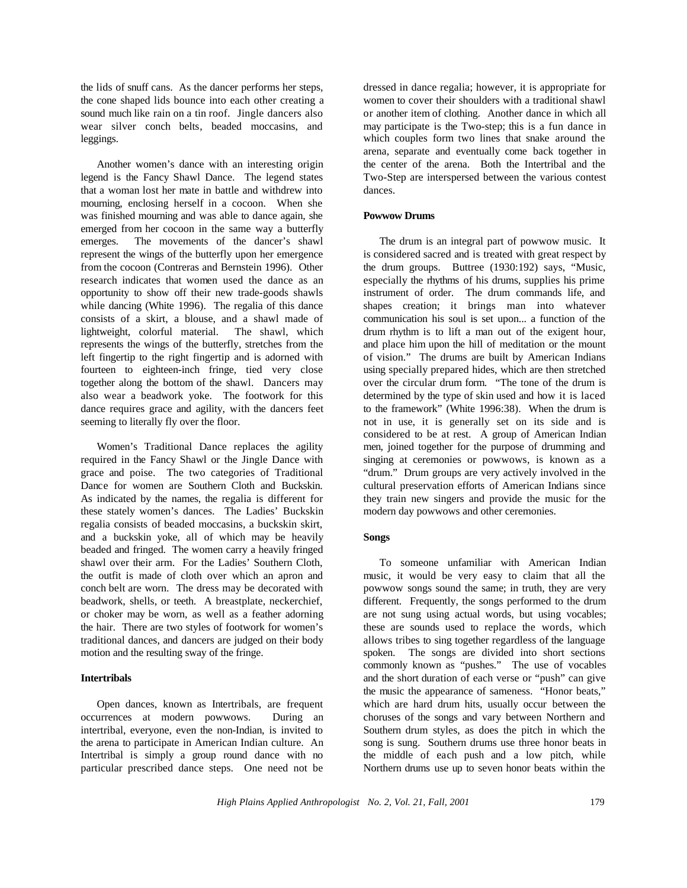the lids of snuff cans. As the dancer performs her steps, the cone shaped lids bounce into each other creating a sound much like rain on a tin roof. Jingle dancers also wear silver conch belts, beaded moccasins, and leggings.

Another women's dance with an interesting origin legend is the Fancy Shawl Dance. The legend states that a woman lost her mate in battle and withdrew into mourning, enclosing herself in a cocoon. When she was finished mourning and was able to dance again, she emerged from her cocoon in the same way a butterfly emerges. The movements of the dancer's shawl represent the wings of the butterfly upon her emergence from the cocoon (Contreras and Bernstein 1996). Other research indicates that women used the dance as an opportunity to show off their new trade-goods shawls while dancing (White 1996). The regalia of this dance consists of a skirt, a blouse, and a shawl made of lightweight, colorful material. The shawl, which represents the wings of the butterfly, stretches from the left fingertip to the right fingertip and is adorned with fourteen to eighteen-inch fringe, tied very close together along the bottom of the shawl. Dancers may also wear a beadwork yoke. The footwork for this dance requires grace and agility, with the dancers feet seeming to literally fly over the floor.

Women's Traditional Dance replaces the agility required in the Fancy Shawl or the Jingle Dance with grace and poise. The two categories of Traditional Dance for women are Southern Cloth and Buckskin. As indicated by the names, the regalia is different for these stately women's dances. The Ladies' Buckskin regalia consists of beaded moccasins, a buckskin skirt, and a buckskin yoke, all of which may be heavily beaded and fringed. The women carry a heavily fringed shawl over their arm. For the Ladies' Southern Cloth, the outfit is made of cloth over which an apron and conch belt are worn. The dress may be decorated with beadwork, shells, or teeth. A breastplate, neckerchief, or choker may be worn, as well as a feather adorning the hair. There are two styles of footwork for women's traditional dances, and dancers are judged on their body motion and the resulting sway of the fringe.

### **Intertribals**

Open dances, known as Intertribals, are frequent occurrences at modern powwows. During an intertribal, everyone, even the non-Indian, is invited to the arena to participate in American Indian culture. An Intertribal is simply a group round dance with no particular prescribed dance steps. One need not be

dressed in dance regalia; however, it is appropriate for women to cover their shoulders with a traditional shawl or another item of clothing. Another dance in which all may participate is the Two-step; this is a fun dance in which couples form two lines that snake around the arena, separate and eventually come back together in the center of the arena. Both the Intertribal and the Two-Step are interspersed between the various contest dances.

### **Powwow Drums**

The drum is an integral part of powwow music. It is considered sacred and is treated with great respect by the drum groups. Buttree (1930:192) says, "Music, especially the rhythms of his drums, supplies his prime instrument of order. The drum commands life, and shapes creation; it brings man into whatever communication his soul is set upon... a function of the drum rhythm is to lift a man out of the exigent hour, and place him upon the hill of meditation or the mount of vision." The drums are built by American Indians using specially prepared hides, which are then stretched over the circular drum form. "The tone of the drum is determined by the type of skin used and how it is laced to the framework" (White 1996:38). When the drum is not in use, it is generally set on its side and is considered to be at rest. A group of American Indian men, joined together for the purpose of drumming and singing at ceremonies or powwows, is known as a "drum." Drum groups are very actively involved in the cultural preservation efforts of American Indians since they train new singers and provide the music for the modern day powwows and other ceremonies.

#### **Songs**

To someone unfamiliar with American Indian music, it would be very easy to claim that all the powwow songs sound the same; in truth, they are very different. Frequently, the songs performed to the drum are not sung using actual words, but using vocables; these are sounds used to replace the words, which allows tribes to sing together regardless of the language spoken. The songs are divided into short sections commonly known as "pushes." The use of vocables and the short duration of each verse or "push" can give the music the appearance of sameness. "Honor beats," which are hard drum hits, usually occur between the choruses of the songs and vary between Northern and Southern drum styles, as does the pitch in which the song is sung. Southern drums use three honor beats in the middle of each push and a low pitch, while Northern drums use up to seven honor beats within the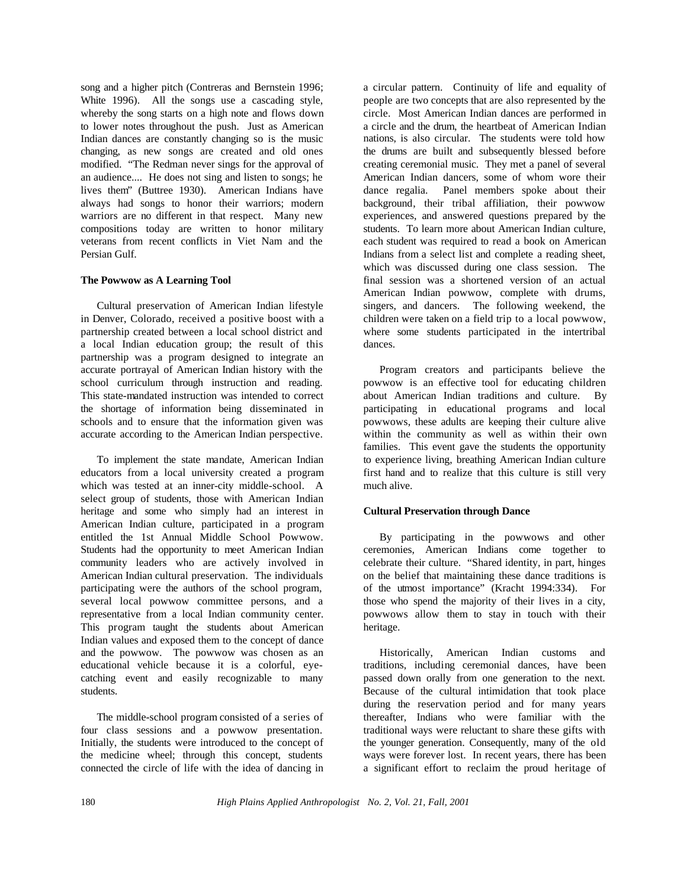song and a higher pitch (Contreras and Bernstein 1996; White 1996). All the songs use a cascading style, whereby the song starts on a high note and flows down to lower notes throughout the push. Just as American Indian dances are constantly changing so is the music changing, as new songs are created and old ones modified. "The Redman never sings for the approval of an audience.... He does not sing and listen to songs; he lives them" (Buttree 1930). American Indians have always had songs to honor their warriors; modern warriors are no different in that respect. Many new compositions today are written to honor military veterans from recent conflicts in Viet Nam and the Persian Gulf.

## **The Powwow as A Learning Tool**

Cultural preservation of American Indian lifestyle in Denver, Colorado, received a positive boost with a partnership created between a local school district and a local Indian education group; the result of this partnership was a program designed to integrate an accurate portrayal of American Indian history with the school curriculum through instruction and reading. This state-mandated instruction was intended to correct the shortage of information being disseminated in schools and to ensure that the information given was accurate according to the American Indian perspective.

To implement the state mandate, American Indian educators from a local university created a program which was tested at an inner-city middle-school. A select group of students, those with American Indian heritage and some who simply had an interest in American Indian culture, participated in a program entitled the 1st Annual Middle School Powwow. Students had the opportunity to meet American Indian community leaders who are actively involved in American Indian cultural preservation. The individuals participating were the authors of the school program, several local powwow committee persons, and a representative from a local Indian community center. This program taught the students about American Indian values and exposed them to the concept of dance and the powwow. The powwow was chosen as an educational vehicle because it is a colorful, eyecatching event and easily recognizable to many students.

The middle-school program consisted of a series of four class sessions and a powwow presentation. Initially, the students were introduced to the concept of the medicine wheel; through this concept, students connected the circle of life with the idea of dancing in

a circular pattern. Continuity of life and equality of people are two concepts that are also represented by the circle. Most American Indian dances are performed in a circle and the drum, the heartbeat of American Indian nations, is also circular. The students were told how the drums are built and subsequently blessed before creating ceremonial music. They met a panel of several American Indian dancers, some of whom wore their dance regalia. Panel members spoke about their background, their tribal affiliation, their powwow experiences, and answered questions prepared by the students. To learn more about American Indian culture, each student was required to read a book on American Indians from a select list and complete a reading sheet, which was discussed during one class session. The final session was a shortened version of an actual American Indian powwow, complete with drums, singers, and dancers. The following weekend, the children were taken on a field trip to a local powwow, where some students participated in the intertribal dances.

Program creators and participants believe the powwow is an effective tool for educating children about American Indian traditions and culture. By participating in educational programs and local powwows, these adults are keeping their culture alive within the community as well as within their own families. This event gave the students the opportunity to experience living, breathing American Indian culture first hand and to realize that this culture is still very much alive.

## **Cultural Preservation through Dance**

By participating in the powwows and other ceremonies, American Indians come together to celebrate their culture. "Shared identity, in part, hinges on the belief that maintaining these dance traditions is of the utmost importance" (Kracht 1994:334). For those who spend the majority of their lives in a city, powwows allow them to stay in touch with their heritage.

Historically, American Indian customs and traditions, including ceremonial dances, have been passed down orally from one generation to the next. Because of the cultural intimidation that took place during the reservation period and for many years thereafter, Indians who were familiar with the traditional ways were reluctant to share these gifts with the younger generation. Consequently, many of the old ways were forever lost. In recent years, there has been a significant effort to reclaim the proud heritage of